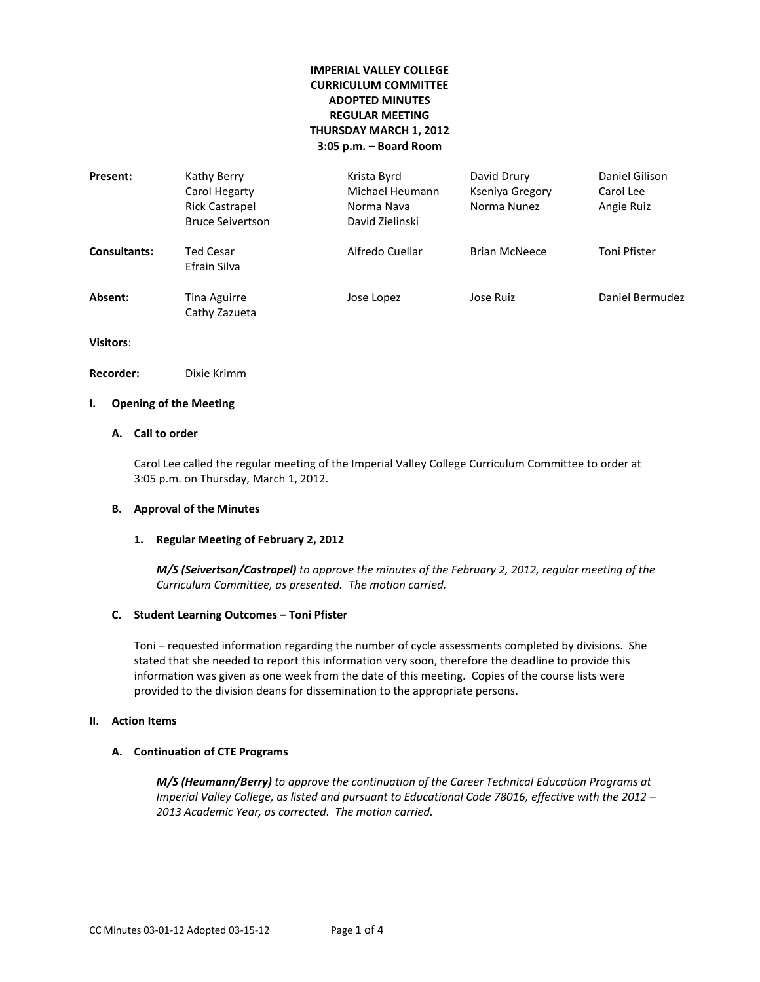# **IMPERIAL VALLEY COLLEGE CURRICULUM COMMITTEE ADOPTED MINUTES REGULAR MEETING THURSDAY MARCH 1, 2012 3:05 p.m. – Board Room**

| Present:            | Kathy Berry<br>Carol Hegarty<br><b>Rick Castrapel</b><br><b>Bruce Seivertson</b> | Krista Byrd<br>Michael Heumann<br>Norma Nava<br>David Zielinski | David Drury<br>Kseniya Gregory<br>Norma Nunez | Daniel Gilison<br>Carol Lee<br>Angie Ruiz |
|---------------------|----------------------------------------------------------------------------------|-----------------------------------------------------------------|-----------------------------------------------|-------------------------------------------|
| <b>Consultants:</b> | Ted Cesar<br>Efrain Silva                                                        | Alfredo Cuellar                                                 | <b>Brian McNeece</b>                          | Toni Pfister                              |
| Absent:             | Tina Aguirre<br>Cathy Zazueta                                                    | Jose Lopez                                                      | Jose Ruiz                                     | Daniel Bermudez                           |

**Visitors**:

**Recorder:** Dixie Krimm

# **I. Opening of the Meeting**

# **A. Call to order**

Carol Lee called the regular meeting of the Imperial Valley College Curriculum Committee to order at 3:05 p.m. on Thursday, March 1, 2012.

### **B. Approval of the Minutes**

### **1. Regular Meeting of February 2, 2012**

*M/S (Seivertson/Castrapel) to approve the minutes of the February 2, 2012, regular meeting of the Curriculum Committee, as presented. The motion carried.*

#### **C. Student Learning Outcomes – Toni Pfister**

Toni – requested information regarding the number of cycle assessments completed by divisions. She stated that she needed to report this information very soon, therefore the deadline to provide this information was given as one week from the date of this meeting. Copies of the course lists were provided to the division deans for dissemination to the appropriate persons.

### **II. Action Items**

### **A. Continuation of CTE Programs**

*M/S (Heumann/Berry) to approve the continuation of the Career Technical Education Programs at Imperial Valley College, as listed and pursuant to Educational Code 78016, effective with the 2012 – 2013 Academic Year, as corrected. The motion carried.*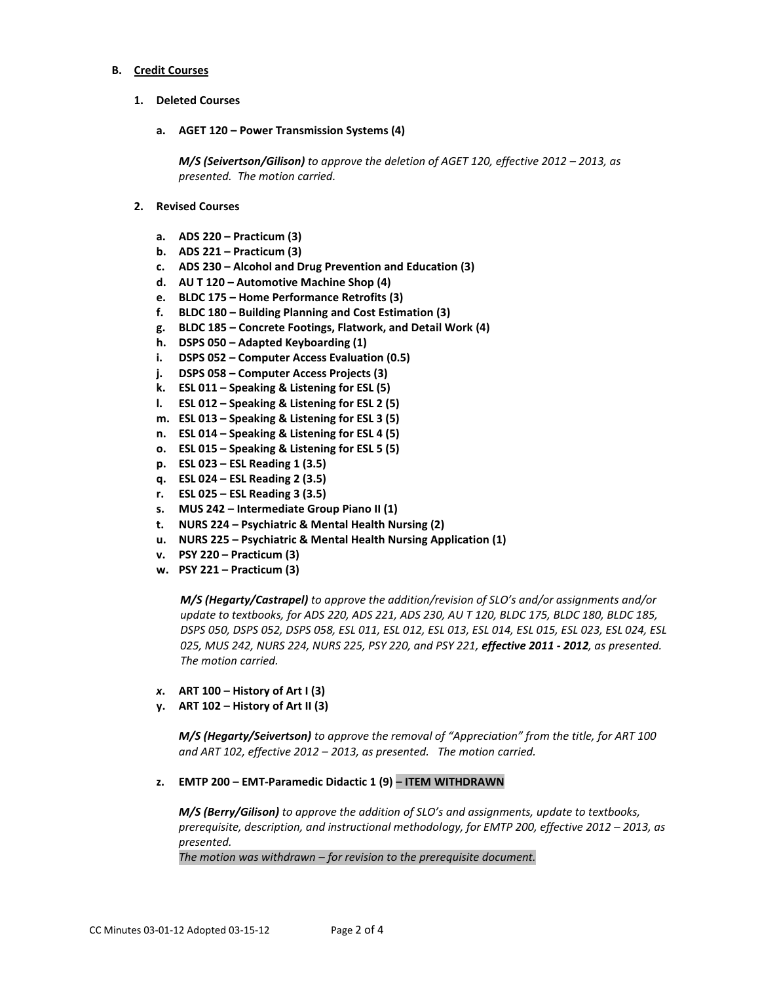#### **B. Credit Courses**

- **1. Deleted Courses**
	- **a. AGET 120 – Power Transmission Systems (4)**

*M/S (Seivertson/Gilison)* to approve the deletion of AGET 120, effective 2012 - 2013, as *presented. The motion carried.*

- **2. Revised Courses**
	- **a. ADS 220 – Practicum (3)**
	- **b. ADS 221 – Practicum (3)**
	- **c. ADS 230 – Alcohol and Drug Prevention and Education (3)**
	- **d. AU T 120 – Automotive Machine Shop (4)**
	- **e. BLDC 175 – Home Performance Retrofits (3)**
	- **f. BLDC 180 – Building Planning and Cost Estimation (3)**
	- **g. BLDC 185 – Concrete Footings, Flatwork, and Detail Work (4)**
	- **h. DSPS 050 – Adapted Keyboarding (1)**
	- **i. DSPS 052 – Computer Access Evaluation (0.5)**
	- **j. DSPS 058 – Computer Access Projects (3)**
	- **k. ESL 011 – Speaking & Listening for ESL (5)**
	- **l. ESL 012 – Speaking & Listening for ESL 2 (5)**
	- **m. ESL 013 – Speaking & Listening for ESL 3 (5)**
	- **n. ESL 014 – Speaking & Listening for ESL 4 (5)**
	- **o. ESL 015 – Speaking & Listening for ESL 5 (5)**
	- **p. ESL 023 – ESL Reading 1 (3.5)**
	- **q. ESL 024 – ESL Reading 2 (3.5)**
	- **r. ESL 025 – ESL Reading 3 (3.5)**
	- **s. MUS 242 – Intermediate Group Piano II (1)**
	- **t. NURS 224 – Psychiatric & Mental Health Nursing (2)**
	- **u. NURS 225 – Psychiatric & Mental Health Nursing Application (1)**
	- **v. PSY 220 – Practicum (3)**
	- **w. PSY 221 – Practicum (3)**

*M/S (Hegarty/Castrapel) to approve the addition/revision of SLO's and/or assignments and/or update to textbooks, for ADS 220, ADS 221, ADS 230, AU T 120, BLDC 175, BLDC 180, BLDC 185, DSPS 050, DSPS 052, DSPS 058, ESL 011, ESL 012, ESL 013, ESL 014, ESL 015, ESL 023, ESL 024, ESL 025, MUS 242, NURS 224, NURS 225, PSY 220, and PSY 221, effective 2011 - 2012, as presented. The motion carried.*

- *x***. ART 100 – History of Art I (3)**
- **y. ART 102 – History of Art II (3)**

*M/S (Hegarty/Seivertson) to approve the removal of "Appreciation" from the title, for ART 100 and ART 102, effective 2012 – 2013, as presented. The motion carried.*

**z. EMTP 200 – EMT-Paramedic Didactic 1 (9) – ITEM WITHDRAWN**

*M/S (Berry/Gilison) to approve the addition of SLO's and assignments, update to textbooks, prerequisite, description, and instructional methodology, for EMTP 200, effective 2012 – 2013, as presented.* 

*The motion was withdrawn – for revision to the prerequisite document.*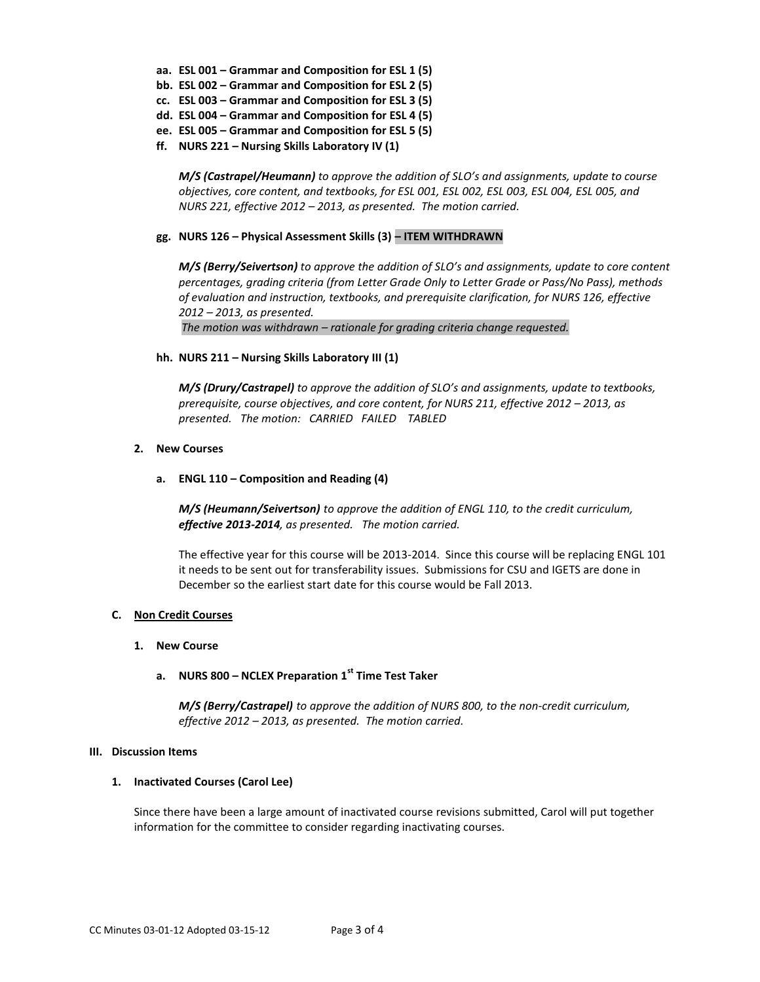- **aa. ESL 001 – Grammar and Composition for ESL 1 (5)**
- **bb. ESL 002 – Grammar and Composition for ESL 2 (5)**
- **cc. ESL 003 – Grammar and Composition for ESL 3 (5)**
- **dd. ESL 004 – Grammar and Composition for ESL 4 (5)**
- **ee. ESL 005 – Grammar and Composition for ESL 5 (5)**
- **ff. NURS 221 – Nursing Skills Laboratory IV (1)**

*M/S (Castrapel/Heumann) to approve the addition of SLO's and assignments, update to course objectives, core content, and textbooks, for ESL 001, ESL 002, ESL 003, ESL 004, ESL 005, and NURS 221, effective 2012 – 2013, as presented. The motion carried.*

### **gg. NURS 126 – Physical Assessment Skills (3) – ITEM WITHDRAWN**

*M/S (Berry/Seivertson) to approve the addition of SLO's and assignments, update to core content percentages, grading criteria (from Letter Grade Only to Letter Grade or Pass/No Pass), methods of evaluation and instruction, textbooks, and prerequisite clarification, for NURS 126, effective 2012 – 2013, as presented.* 

*The motion was withdrawn – rationale for grading criteria change requested.*

### **hh. NURS 211 – Nursing Skills Laboratory III (1)**

*M/S (Drury/Castrapel) to approve the addition of SLO's and assignments, update to textbooks, prerequisite, course objectives, and core content, for NURS 211, effective 2012 - 2013, as presented. The motion: CARRIED FAILED TABLED*

### **2. New Courses**

### **a. ENGL 110 – Composition and Reading (4)**

*M/S (Heumann/Seivertson) to approve the addition of ENGL 110, to the credit curriculum, effective 2013-2014, as presented. The motion carried.*

The effective year for this course will be 2013-2014. Since this course will be replacing ENGL 101 it needs to be sent out for transferability issues. Submissions for CSU and IGETS are done in December so the earliest start date for this course would be Fall 2013.

### **C. Non Credit Courses**

### **1. New Course**

# **a. NURS 800 – NCLEX Preparation 1st Time Test Taker**

*M/S (Berry/Castrapel) to approve the addition of NURS 800, to the non-credit curriculum, effective 2012 – 2013, as presented. The motion carried.*

### **III. Discussion Items**

### **1. Inactivated Courses (Carol Lee)**

Since there have been a large amount of inactivated course revisions submitted, Carol will put together information for the committee to consider regarding inactivating courses.